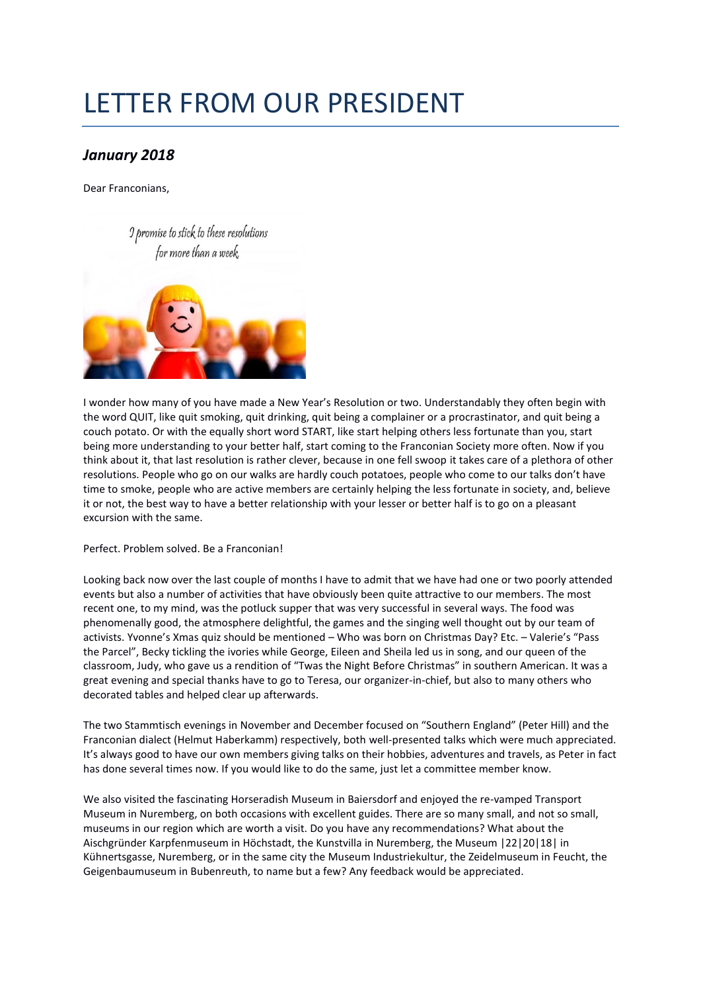## LETTER FROM OUR PRESIDENT

## *January 2018*

Dear Franconians,



I wonder how many of you have made a New Year's Resolution or two. Understandably they often begin with the word QUIT, like quit smoking, quit drinking, quit being a complainer or a procrastinator, and quit being a couch potato. Or with the equally short word START, like start helping others less fortunate than you, start being more understanding to your better half, start coming to the Franconian Society more often. Now if you think about it, that last resolution is rather clever, because in one fell swoop it takes care of a plethora of other resolutions. People who go on our walks are hardly couch potatoes, people who come to our talks don't have time to smoke, people who are active members are certainly helping the less fortunate in society, and, believe it or not, the best way to have a better relationship with your lesser or better half is to go on a pleasant excursion with the same.

Perfect. Problem solved. Be a Franconian!

Looking back now over the last couple of months I have to admit that we have had one or two poorly attended events but also a number of activities that have obviously been quite attractive to our members. The most recent one, to my mind, was the potluck supper that was very successful in several ways. The food was phenomenally good, the atmosphere delightful, the games and the singing well thought out by our team of activists. Yvonne's Xmas quiz should be mentioned – Who was born on Christmas Day? Etc. – Valerie's "Pass the Parcel", Becky tickling the ivories while George, Eileen and Sheila led us in song, and our queen of the classroom, Judy, who gave us a rendition of "Twas the Night Before Christmas" in southern American. It was a great evening and special thanks have to go to Teresa, our organizer-in-chief, but also to many others who decorated tables and helped clear up afterwards.

The two Stammtisch evenings in November and December focused on "Southern England" (Peter Hill) and the Franconian dialect (Helmut Haberkamm) respectively, both well-presented talks which were much appreciated. It's always good to have our own members giving talks on their hobbies, adventures and travels, as Peter in fact has done several times now. If you would like to do the same, just let a committee member know.

We also visited the fascinating Horseradish Museum in Baiersdorf and enjoyed the re-vamped Transport Museum in Nuremberg, on both occasions with excellent guides. There are so many small, and not so small, museums in our region which are worth a visit. Do you have any recommendations? What about the Aischgründer Karpfenmuseum in Höchstadt, the Kunstvilla in Nuremberg, the Museum |22|20|18| in Kühnertsgasse, Nuremberg, or in the same city the Museum Industriekultur, the Zeidelmuseum in Feucht, the Geigenbaumuseum in Bubenreuth, to name but a few? Any feedback would be appreciated.